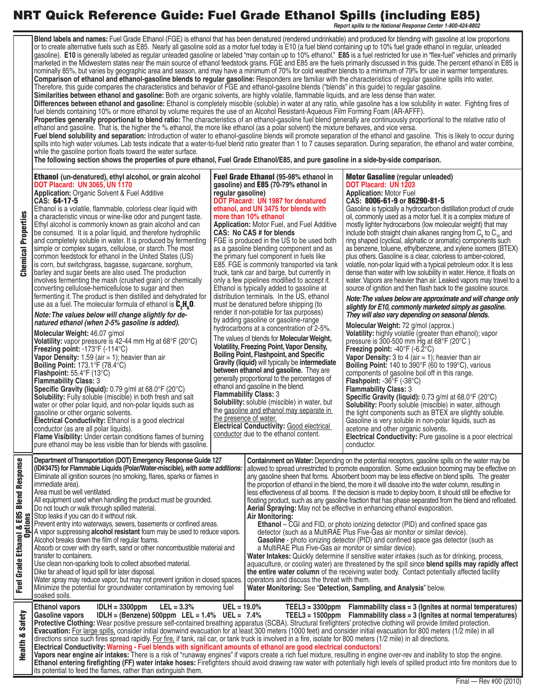## **NRT Quick Reference Guide: Fuel Grade Ethanol Spills (including E85)**

*Report spills to the National Response Center 1-800-424-8802*

|                                                                             | Blend labels and names: Fuel Grade Ethanol (FGE) is ethanol that has been denatured (rendered undrinkable) and produced for blending with gasoline at low proportions<br>or to create alternative fuels such as E85. Nearly all gasoline sold as a motor fuel today is E10 (a fuel blend containing up to 10% fuel grade ethanol in regular, unleaded<br>gasoline). E10 is generally labeled as regular unleaded gasoline or labeled "may contain up to 10% ethanol." E85 is a fuel restricted for use in "flex-fuel" vehicles and primarily<br>marketed in the Midwestern states near the main source of ethanol feedstock grains. FGE and E85 are the fuels primarily discussed in this guide. The percent ethanol in E85 is<br>nominally 85%, but varies by geographic area and season, and may have a minimum of 70% for cold weather blends to a minimum of 79% for use in warmer temperatures.<br>Comparison of ethanol and ethanol-gasoline blends to regular gasoline: Responders are familiar with the characteristics of regular gasoline spills into water.<br>Therefore, this guide compares the characteristics and behavior of FGE and ethanol-gasoline blends ("blends" in this guide) to regular gasoline.<br>Similarities between ethanol and gasoline: Both are organic solvents, are highly volatile, flammable liquids, and are less dense than water.<br>Differences between ethanol and gasoline: Ethanol is completely miscible (soluble) in water at any ratio, while gasoline has a low solubility in water. Fighting fires of<br>fuel blends containing 10% or more ethanol by volume requires the use of an Alcohol Resistant-Aqueous Film Forming Foam (AR-AFFF).<br>Properties generally proportional to blend ratio: The characteristics of an ethanol-gasoline fuel blend generally are continuously proportional to the relative ratio of<br>ethanol and gasoline. That is, the higher the % ethanol, the more like ethanol (as a polar solvent) the mixture behaves, and vice versa.<br>Fuel blend solubility and separation: Introduction of water to ethanol-gasoline blends will promote separation of the ethanol and gasoline. This is likely to occur during<br>spills into high water volumes. Lab tests indicate that a water-to-fuel blend ratio greater than 1 to 7 causes separation. During separation, the ethanol and water combine,<br>while the gasoline portion floats toward the water surface.<br>The following section shows the properties of pure ethanol, Fuel Grade Ethanol/E85, and pure gasoline in a side-by-side comparison. |                   |                                                                                                                                                                                                                                                                                                                                                                                                                                                                                                                                                                                                                                                                                                                                                                                                                                                                                                                                                                                                                                                                                                                                                                                                                                                                                                                                                                                                                                                                                           |                                                                                                                                                                                                                                                                                                                                                                                                                                                                                                                                                                                                                                                                                                                                                                                                                                                                                                                                                                                                                                                                                                                                                                                                                                                                                                                                                                                                                                                                                                                                                                                                                                                                                                                                                                                                                                                                                                                                                                                                                      |  |
|-----------------------------------------------------------------------------|-------------------------------------------------------------------------------------------------------------------------------------------------------------------------------------------------------------------------------------------------------------------------------------------------------------------------------------------------------------------------------------------------------------------------------------------------------------------------------------------------------------------------------------------------------------------------------------------------------------------------------------------------------------------------------------------------------------------------------------------------------------------------------------------------------------------------------------------------------------------------------------------------------------------------------------------------------------------------------------------------------------------------------------------------------------------------------------------------------------------------------------------------------------------------------------------------------------------------------------------------------------------------------------------------------------------------------------------------------------------------------------------------------------------------------------------------------------------------------------------------------------------------------------------------------------------------------------------------------------------------------------------------------------------------------------------------------------------------------------------------------------------------------------------------------------------------------------------------------------------------------------------------------------------------------------------------------------------------------------------------------------------------------------------------------------------------------------------------------------------------------------------------------------------------------------------------------------------------------------------------------------------------------------------------------------------------------------------------------------------------------------------------------------------------------------------------------------------------------------------------------------------------------------------------------------------------------------------|-------------------|-------------------------------------------------------------------------------------------------------------------------------------------------------------------------------------------------------------------------------------------------------------------------------------------------------------------------------------------------------------------------------------------------------------------------------------------------------------------------------------------------------------------------------------------------------------------------------------------------------------------------------------------------------------------------------------------------------------------------------------------------------------------------------------------------------------------------------------------------------------------------------------------------------------------------------------------------------------------------------------------------------------------------------------------------------------------------------------------------------------------------------------------------------------------------------------------------------------------------------------------------------------------------------------------------------------------------------------------------------------------------------------------------------------------------------------------------------------------------------------------|----------------------------------------------------------------------------------------------------------------------------------------------------------------------------------------------------------------------------------------------------------------------------------------------------------------------------------------------------------------------------------------------------------------------------------------------------------------------------------------------------------------------------------------------------------------------------------------------------------------------------------------------------------------------------------------------------------------------------------------------------------------------------------------------------------------------------------------------------------------------------------------------------------------------------------------------------------------------------------------------------------------------------------------------------------------------------------------------------------------------------------------------------------------------------------------------------------------------------------------------------------------------------------------------------------------------------------------------------------------------------------------------------------------------------------------------------------------------------------------------------------------------------------------------------------------------------------------------------------------------------------------------------------------------------------------------------------------------------------------------------------------------------------------------------------------------------------------------------------------------------------------------------------------------------------------------------------------------------------------------------------------------|--|
| <b>Chemical Properties</b>                                                  | <b>Ethanol</b> (un-denatured), ethyl alcohol, or grain alcohol<br><b>DOT Placard: UN 3065, UN 1170</b><br><b>Application: Organic Solvent &amp; Fuel Additive</b><br>CAS: 64-17-5<br>Ethanol is a volatile, flammable, colorless clear liquid with<br>a characteristic vinous or wine-like odor and pungent taste.<br>Ethyl alcohol is commonly known as grain alcohol and can<br>be consumed. It is a polar liquid, and therefore hydrophilic<br>and completely soluble in water. It is produced by fermenting<br>simple or complex sugars, cellulose, or starch. The most<br>common feedstock for ethanol in the United States (US)<br>is corn, but switchgrass, bagasse, sugarcane, sorghum,<br>barley and sugar beets are also used. The production<br>involves fermenting the mash (crushed grain) or chemically<br>converting cellulose-hemicellulose to sugar and then<br>fermenting it. The product is then distilled and dehydrated for<br>use as a fuel. The molecular formula of ethanol is $C_{2}H_{6}O$ .<br>Note: The values below will change slightly for de-<br>natured ethanol (when 2-5% gasoline is added).<br>Molecular Weight: 46.07 g/mol<br>Volatility: vapor pressure is 42-44 mm Hg at 68°F (20°C)<br><b>Freezing point:</b> $-173^{\circ}F$ ( $-114^{\circ}C$ )<br><b>Vapor Density:</b> 1.59 (air $=$ 1); heavier than air<br><b>Boiling Point:</b> 173.1°F (78.4°C)<br><b>Flashpoint:</b> $55.4^{\circ}F(13^{\circ}C)$<br><b>Flammability Class: 3</b><br><b>Specific Gravity (liquid):</b> 0.79 g/ml at $68.0^{\circ}$ F (20 $^{\circ}$ C)<br><b>Solubility:</b> Fully soluble (miscible) in both fresh and salt<br>water or other polar liquid, and non-polar liquids such as<br>gasoline or other organic solvents.<br>Electrical Conductivity: Ethanol is a good electrical<br>conductor (as are all polar liquids).<br>Flame Visibility: Under certain conditions flames of burning<br>pure ethanol may be less visible than for blends with gasoline.                                                                                                                                                                                                                                                                                                                                                                                                                                                                                                                                                                                                  | regular gasoline) | <b>Fuel Grade Ethanol (95-98% ethanol in</b><br>gasoline) and E85 (70-79% ethanol in<br>DOT Placard: UN 1987 for denatured<br>ethanol, and UN 3475 for blends with<br>more than 10% ethanol<br>Application: Motor Fuel, and Fuel Additive<br>CAS: No CAS # for blends<br>FGE is produced in the US to be used both<br>as a gasoline blending component and as<br>the primary fuel component in fuels like<br>E85. FGE is commonly transported via tank<br>truck, tank car and barge, but currently in<br>only a few pipelines modified to accept it.<br>Ethanol is typically added to gasoline at<br>distribution terminals. In the US, ethanol<br>must be denatured before shipping (to<br>render it non-potable for tax purposes)<br>by adding gasoline or gasoline-range<br>hydrocarbons at a concentration of 2-5%.<br>The values of blends for Molecular Weight,<br><b>Volatility, Freezing Point, Vapor Density,</b><br><b>Boiling Point, Flashpoint, and Specific</b><br><b>Gravity (liquid)</b> will typically be <b>intermediate</b><br>between ethanol and gasoline. They are<br>generally proportional to the percentages of<br>ethanol and gasoline in the blend.<br><b>Flammability Class: 3</b><br><b>Solubility:</b> soluble (miscible) in water, but<br>the gasoline and ethanol may separate in<br>the presence of water.<br>Electrical Conductivity: Good electrical<br>conductor due to the ethanol content.                                                           | <b>Motor Gasoline</b> (regular unleaded)<br>DOT Placard: UN 1203<br><b>Application: Motor Fuel</b><br>CAS: 8006-61-9 or 86290-81-5<br>Gasoline is typically a hydrocarbon distillation product of crude<br>oil, commonly used as a motor fuel. It is a complex mixture of<br>mostly lighter hydrocarbons (low molecular weight) that may<br>include both straight chain alkanes ranging from $C_{\epsilon}$ to $C_{\eta}$ and<br>ring shaped (cyclical, aliphatic or aromatic) components such<br>as benzene, toluene, ethylbenzene, and xylene isomers (BTEX)<br>plus others. Gasoline is a clear, colorless to amber-colored,<br>volatile, non-polar liquid with a typical petroleum odor. It is less<br>dense than water with low solubility in water. Hence, it floats on<br>water. Vapors are heavier than air. Leaked vapors may travel to a<br>source of ignition and then flash back to the gasoline source.<br>Note: The values below are approximate and will change only<br>slightly for E10, commonly marketed simply as gasoline.<br>They will also vary depending on seasonal blends.<br>Molecular Weight: 72 g/mol (approx.)<br><b>Volatility:</b> highly volatile (greater than ethanol); vapor<br>pressure is 300-500 mm Hg at $68^{\circ}F$ (20 $^{\circ}C$ )<br><b>Freezing point:</b> $-40^{\circ}$ F ( $-6.2^{\circ}$ C)<br>Vapor Density: $3$ to $4$ (air = 1); heavier than air<br><b>Boiling Point:</b> 140 to 390 $\degree$ F (60 to 199 $\degree$ C), various<br>components of gasoline boil off in this range.<br><b>Flashpoint: -36°F (-38°C)</b><br><b>Flammability Class: 3</b><br><b>Specific Gravity (liquid):</b> 0.73 g/ml at $68.0^{\circ}F$ (20 $^{\circ}C$ )<br><b>Solubility:</b> Poorly soluble (miscible) in water, although<br>the light components such as BTEX are slightly soluble.<br>Gasoline is very soluble in non-polar liquids, such as<br>acetone and other organic solvents.<br><b>Electrical Conductivity:</b> Pure gasoline is a poor electrical<br>conductor. |  |
| <b>Blend Response</b><br>iol & E85<br>Options<br>Ethanol &<br>Grade<br>Fuel | Department of Transportation (DOT) Emergency Response Guide 127<br>(ID#3475) for Flammable Liquids (Polar/Water-miscible), with some additions:<br>Eliminate all ignition sources (no smoking, flares, sparks or flames in<br>immediate area).<br>Area must be well ventilated.<br>All equipment used when handling the product must be grounded.<br>Do not touch or walk through spilled material.<br>Stop leaks if you can do it without risk.<br>Prevent entry into waterways, sewers, basements or confined areas.<br>A vapor suppressing alcohol resistant foam may be used to reduce vapors.<br>Alcohol breaks down the film of regular foams.<br>Absorb or cover with dry earth, sand or other noncombustible material and<br>transfer to containers.<br>Use clean non-sparking tools to collect absorbed material.<br>Dike far ahead of liquid spill for later disposal.<br>Water spray may reduce vapor, but may not prevent ignition in closed spaces.<br>Minimize the potential for groundwater contamination by removing fuel<br>soaked soils.                                                                                                                                                                                                                                                                                                                                                                                                                                                                                                                                                                                                                                                                                                                                                                                                                                                                                                                                                                                                                                                                                                                                                                                                                                                                                                                                                                                                                                                                                                                                |                   | Containment on Water: Depending on the potential receptors, gasoline spills on the water may be<br>allowed to spread unrestricted to promote evaporation. Some exclusion booming may be effective on<br>any gasoline sheen that forms. Absorbent boom may be less effective on blend spills. The greater<br>the proportion of ethanol in the blend, the more it will dissolve into the water column, resulting in<br>less effectiveness of all booms. If the decision is made to deploy boom, it should still be effective for<br>floating product, such as any gasoline fraction that has phase separated from the blend and refloated.<br>Aerial Spraying: May not be effective in enhancing ethanol evaporation.<br><b>Air Monitoring:</b><br><b>Ethanol</b> – CGI and FID, or photo ionizing detector (PID) and confined space gas<br>detector (such as a MultiRAE Plus Five-Gas air monitor or similar device).<br>Gasoline - photo ionizing detector (PID) and confined space gas detector (such as<br>a MultiRAE Plus Five-Gas air monitor or similar device).<br>Water Intakes: Quickly determine if sensitive water intakes (such as for drinking, process,<br>aquaculture, or cooling water) are threatened by the spill since blend spills may rapidly affect<br>the entire water column of the receiving water body. Contact potentially affected facility<br>operators and discuss the threat with them.<br>Water Monitoring: See "Detection, Sampling, and Analysis" below. |                                                                                                                                                                                                                                                                                                                                                                                                                                                                                                                                                                                                                                                                                                                                                                                                                                                                                                                                                                                                                                                                                                                                                                                                                                                                                                                                                                                                                                                                                                                                                                                                                                                                                                                                                                                                                                                                                                                                                                                                                      |  |
| Safety<br>œ<br>Health                                                       | <b>Ethanol vapors</b><br>$IDLH = 3300ppm$<br>$LEL = 3.3%$<br>$UEL = 19.0\%$<br>TEEL3 = 3300ppm Flammability class = 3 (Ignites at normal temperatures)<br>$IDLH = (Benzene) 500 ppm$ LEL = 1.4% UEL = 7.4%<br>TEEL3 = 1500ppm Flammability class = 3 (Ignites at normal temperatures)<br><b>Gasoline vapors</b><br>Protective Clothing: Wear positive pressure self-contained breathing apparatus (SCBA). Structural firefighters' protective clothing will provide limited protection.<br>Evacuation: For large spills, consider initial downwind evacuation for at least 300 meters (1000 feet) and consider initial evacuation for 800 meters (1/2 mile) in all<br>directions since such fires spread rapidly. For fire, if tank, rail car, or tank truck is involved in a fire, isolate for 800 meters (1/2 mile) in all directions.<br>Electrical Conductivity: Warning - Fuel blends with significant amounts of ethanol are good electrical conductors!<br>Vapors near engine air intakes: There is a risk of "runaway engines" if vapors create a rich fuel mixture, resulting in engine over-rev and inability to stop the engine.<br>Ethanol entering firefighting (FF) water intake hoses: Firefighters should avoid drawing raw water with potentially high levels of spilled product into fire monitors due to<br>its potential to feed the flames, rather than extinguish them.                                                                                                                                                                                                                                                                                                                                                                                                                                                                                                                                                                                                                                                                                                                                                                                                                                                                                                                                                                                                                                                                                                                                                                                             |                   |                                                                                                                                                                                                                                                                                                                                                                                                                                                                                                                                                                                                                                                                                                                                                                                                                                                                                                                                                                                                                                                                                                                                                                                                                                                                                                                                                                                                                                                                                           |                                                                                                                                                                                                                                                                                                                                                                                                                                                                                                                                                                                                                                                                                                                                                                                                                                                                                                                                                                                                                                                                                                                                                                                                                                                                                                                                                                                                                                                                                                                                                                                                                                                                                                                                                                                                                                                                                                                                                                                                                      |  |